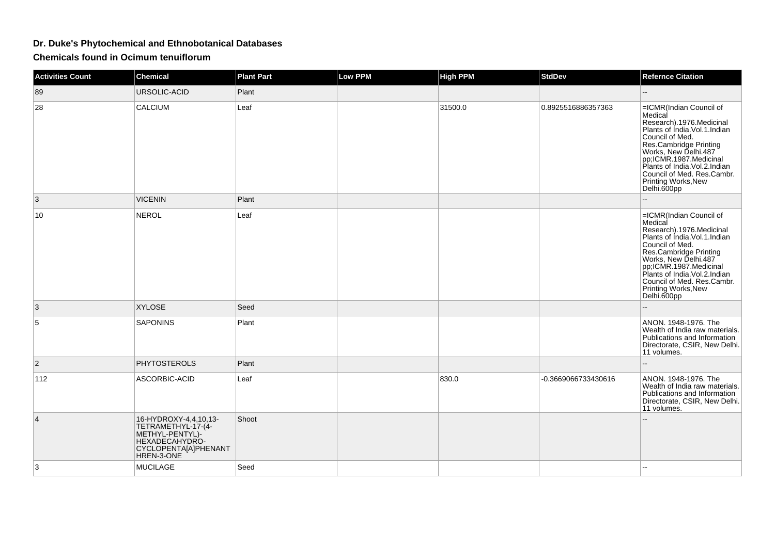## **Dr. Duke's Phytochemical and Ethnobotanical Databases**

**Chemicals found in Ocimum tenuiflorum**

| <b>Activities Count</b> | <b>Chemical</b>                                                                                                        | <b>Plant Part</b> | <b>Low PPM</b> | <b>High PPM</b> | <b>StdDev</b>       | <b>Refernce Citation</b>                                                                                                                                                                                                                                                                                |
|-------------------------|------------------------------------------------------------------------------------------------------------------------|-------------------|----------------|-----------------|---------------------|---------------------------------------------------------------------------------------------------------------------------------------------------------------------------------------------------------------------------------------------------------------------------------------------------------|
| 89                      | <b>URSOLIC-ACID</b>                                                                                                    | Plant             |                |                 |                     | $-$                                                                                                                                                                                                                                                                                                     |
| 28                      | CALCIUM                                                                                                                | Leaf              |                | 31500.0         | 0.8925516886357363  | =ICMR(Indian Council of<br>Medical<br>Research).1976.Medicinal<br>Plants of Índia. Vol. 1. Indian<br>Council of Med.<br>Res.Cambridge Printing<br>Works, New Delhi.487<br>pp;ICMR.1987.Medicinal<br>Plants of India. Vol. 2. Indian<br>Council of Med. Res.Cambr.<br>Printing Works, New<br>Delhi.600pp |
| 3                       | <b>VICENIN</b>                                                                                                         | Plant             |                |                 |                     |                                                                                                                                                                                                                                                                                                         |
| 10                      | NEROL                                                                                                                  | Leaf              |                |                 |                     | =ICMR(Indian Council of<br>Medical<br>Research).1976.Medicinal<br>Plants of Índia. Vol. 1. Indian<br>Council of Med.<br>Res.Cambridge Printing<br>Works, New Delhi.487<br>pp;ICMR.1987.Medicinal<br>Plants of India. Vol. 2. Indian<br>Council of Med. Res.Cambr.<br>Printing Works, New<br>Delhi.600pp |
| 3                       | <b>XYLOSE</b>                                                                                                          | Seed              |                |                 |                     |                                                                                                                                                                                                                                                                                                         |
| 5                       | <b>SAPONINS</b>                                                                                                        | Plant             |                |                 |                     | ANON. 1948-1976. The<br>Wealth of India raw materials.<br>Publications and Information<br>Directorate, CSIR, New Delhi.<br>11 volumes.                                                                                                                                                                  |
| $\overline{2}$          | <b>PHYTOSTEROLS</b>                                                                                                    | Plant             |                |                 |                     | $-$                                                                                                                                                                                                                                                                                                     |
| 112                     | ASCORBIC-ACID                                                                                                          | Leaf              |                | 830.0           | -0.3669066733430616 | ANON, 1948-1976. The<br>Wealth of India raw materials.<br>Publications and Information<br>Directorate, CSIR, New Delhi.<br>11 volumes.                                                                                                                                                                  |
| 4                       | 16-HYDROXY-4,4,10,13-<br>TETRAMETHYL-17-(4-<br>METHYL-PENTYL)-<br>HEXADECAHYDRO-<br>CYCLOPENTA[A]PHENANT<br>HREN-3-ONE | Shoot             |                |                 |                     |                                                                                                                                                                                                                                                                                                         |
| 3                       | <b>MUCILAGE</b>                                                                                                        | Seed              |                |                 |                     |                                                                                                                                                                                                                                                                                                         |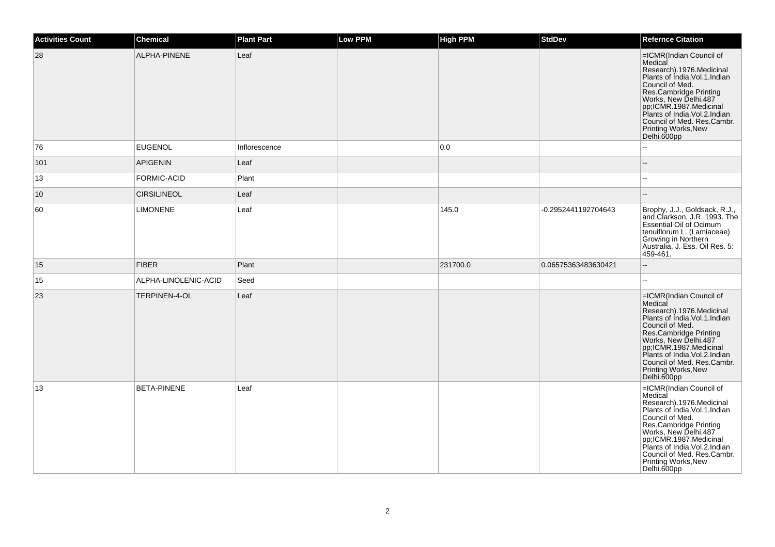| Activities Count | Chemical             | <b>Plant Part</b> | Low PPM | High PPM | <b>StdDev</b>       | <b>Refernce Citation</b>                                                                                                                                                                                                                                                                                    |
|------------------|----------------------|-------------------|---------|----------|---------------------|-------------------------------------------------------------------------------------------------------------------------------------------------------------------------------------------------------------------------------------------------------------------------------------------------------------|
| 28               | ALPHA-PINENE         | Leaf              |         |          |                     | =ICMR(Indian Council of<br>Medical<br>Research).1976.Medicinal<br>Plants of India.Vol.1.Indian<br>Council of Med.<br>Res.Cambridge Printing<br>Works, New Delhi.487<br>pp;ICMR.1987.Medicinal<br>Plants of India. Vol.2. Indian<br>Council of Med. Res.Cambr.<br>Printing Works, New<br>Delhi.600pp         |
| 76               | <b>EUGENOL</b>       | Inflorescence     |         | 0.0      |                     |                                                                                                                                                                                                                                                                                                             |
| 101              | <b>APIGENIN</b>      | Leaf              |         |          |                     | $\sim$                                                                                                                                                                                                                                                                                                      |
| 13               | FORMIC-ACID          | Plant             |         |          |                     |                                                                                                                                                                                                                                                                                                             |
| 10               | <b>CIRSILINEOL</b>   | Leaf              |         |          |                     |                                                                                                                                                                                                                                                                                                             |
| 60               | <b>LIMONENE</b>      | Leaf              |         | 145.0    | -0.2952441192704643 | Brophy, J.J., Goldsack, R.J.,<br>and Clarkson, J.R. 1993. The<br><b>Essential Oil of Ocimum</b><br>tenuiflorum L. (Lamiaceae)<br>Growing in Northern<br>Australia, J. Ess. Oil Res. 5:<br>459-461.                                                                                                          |
| 15               | <b>FIBER</b>         | Plant             |         | 231700.0 | 0.06575363483630421 |                                                                                                                                                                                                                                                                                                             |
| 15               | ALPHA-LINOLENIC-ACID | Seed              |         |          |                     | --                                                                                                                                                                                                                                                                                                          |
| 23               | <b>TERPINEN-4-OL</b> | Leaf              |         |          |                     | =ICMR(Indian Council of<br>Medical<br>Research).1976.Medicinal<br>Plants of India.Vol.1.Indian<br>Council of Med.<br>Res.Cambridge Printing<br>Works, New Delhi.487<br>pp;ICMR.1987.Medicinal<br>Plants of India. Vol.2. Indian<br>Council of Med. Res.Cambr.<br><b>Printing Works, New</b><br>Delhi.600pp  |
| 13               | <b>BETA-PINENE</b>   | Leaf              |         |          |                     | =ICMR(Indian Council of<br>Medical<br>Research).1976.Medicinal<br>Plants of India. Vol. 1. Indian<br>Council of Med.<br>Res.Cambridge Printing<br>Works, New Delhi.487<br>pp;ICMR.1987.Medicinal<br>Plants of India.Vol.2.Indian<br>Council of Med. Res.Cambr.<br><b>Printing Works, New</b><br>Delhi.600pp |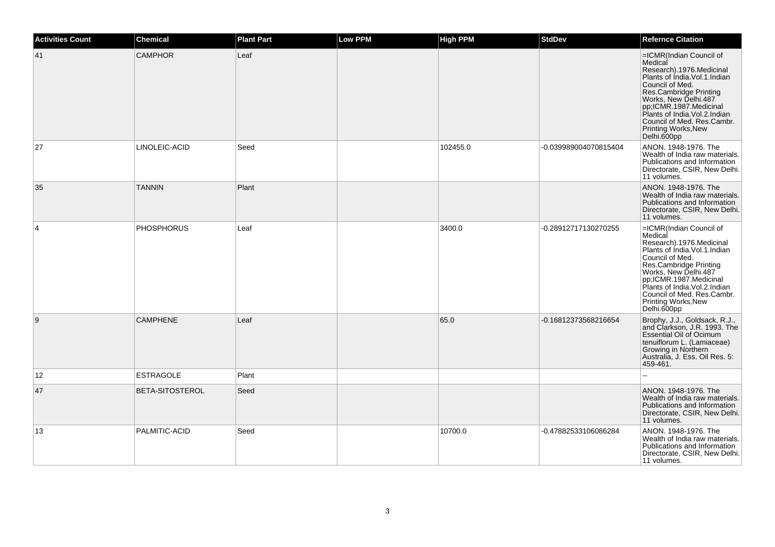| <b>Activities Count</b> | <b>Chemical</b>        | <b>Plant Part</b> | <b>Low PPM</b> | <b>High PPM</b> | <b>StdDev</b>         | <b>Refernce Citation</b>                                                                                                                                                                                                                                                                                        |
|-------------------------|------------------------|-------------------|----------------|-----------------|-----------------------|-----------------------------------------------------------------------------------------------------------------------------------------------------------------------------------------------------------------------------------------------------------------------------------------------------------------|
| 41                      | <b>CAMPHOR</b>         | Leaf              |                |                 |                       | =ICMR(Indian Council of<br>Medical<br>Research).1976.Medicinal<br>Plants of India.Vol.1.Indian<br>Council of Med.<br>Res.Cambridge Printing<br>Works, New Delhi.487<br>pp,ICMR.1987.Medicinal<br>Plants of India.Vol.2.Indian<br>Council of Med. Res.Cambr.<br>Printing Works, New<br>Delhi.600pp               |
| 27                      | LINOLEIC-ACID          | Seed              |                | 102455.0        | -0.039989004070815404 | ANON. 1948-1976. The<br>Wealth of India raw materials.<br>Publications and Information<br>Directorate, CSIR, New Delhi.<br>11 volumes.                                                                                                                                                                          |
| 35                      | <b>TANNIN</b>          | Plant             |                |                 |                       | ANON. 1948-1976. The<br>Wealth of India raw materials.<br>Publications and Information<br>Directorate, CSIR, New Delhi.<br>11 volumes.                                                                                                                                                                          |
| $\overline{4}$          | <b>PHOSPHORUS</b>      | Leaf              |                | 3400.0          | -0.28912717130270255  | =ICMR(Indian Council of<br>Medical<br>Research).1976.Medicinal<br>Plants of India. Vol. 1. Indian<br>Council of Med.<br>Council<br>Res.Cambridge Printing<br>Works, New Delhi.487<br>pp;ICMR.1987.Medicinal<br>Plants of India.Vol.2.Indian<br>Council of Med. Res.Cambr.<br>Printing Works, New<br>Delhi.600pp |
| 9                       | <b>CAMPHENE</b>        | Leaf              |                | 65.0            | -0.16812373568216654  | Brophy, J.J., Goldsack, R.J.,<br>and Clarkson, J.R. 1993. The<br><b>Essential Oil of Ocimum</b><br>tenuiflorum L. (Lamiaceae)<br><b>Growing in Northern</b><br>Australia, J. Ess. Oil Res. 5:<br>459-461.                                                                                                       |
| 12                      | <b>ESTRAGOLE</b>       | Plant             |                |                 |                       |                                                                                                                                                                                                                                                                                                                 |
| 47                      | <b>BETA-SITOSTEROL</b> | Seed              |                |                 |                       | ANON, 1948-1976. The<br>Wealth of India raw materials.<br>Publications and Information<br>Directorate, CSIR, New Delhi.<br>11 volumes.                                                                                                                                                                          |
| 13                      | PALMITIC-ACID          | Seed              |                | 10700.0         | -0.47882533106086284  | ANON, 1948-1976. The<br>Wealth of India raw materials.<br>Publications and Information<br>Directorate, CSIR, New Delhi.<br>11 volumes.                                                                                                                                                                          |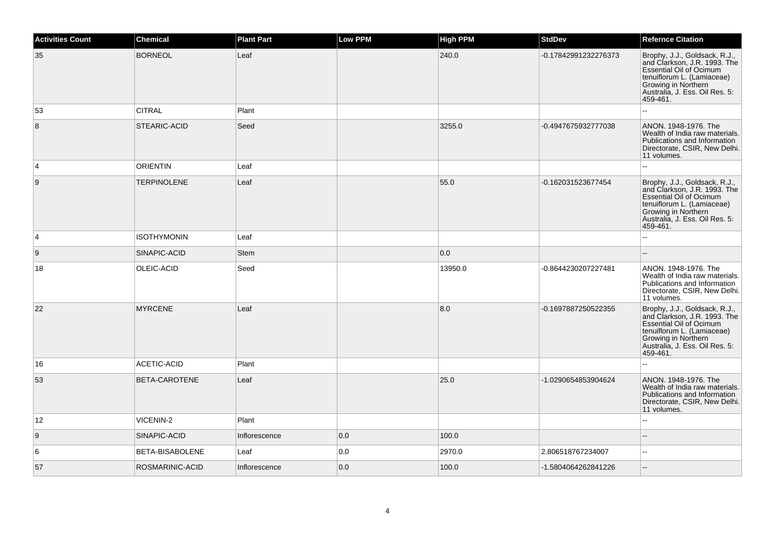| <b>Activities Count</b> | <b>Chemical</b>    | <b>Plant Part</b> | <b>Low PPM</b> | <b>High PPM</b> | <b>StdDev</b>        | <b>Refernce Citation</b>                                                                                                                                                                           |
|-------------------------|--------------------|-------------------|----------------|-----------------|----------------------|----------------------------------------------------------------------------------------------------------------------------------------------------------------------------------------------------|
| 35                      | <b>BORNEOL</b>     | Leaf              |                | 240.0           | -0.17842991232276373 | Brophy, J.J., Goldsack, R.J.,<br>and Clarkson, J.R. 1993. The<br><b>Essential Oil of Ocimum</b><br>tenuiflorum L. (Lamiaceae)<br>Growing in Northern<br>Australia, J. Ess. Oil Res. 5:<br>459-461. |
| 53                      | <b>CITRAL</b>      | Plant             |                |                 |                      |                                                                                                                                                                                                    |
| 8                       | STEARIC-ACID       | Seed              |                | 3255.0          | -0.4947675932777038  | ANON. 1948-1976. The<br>Wealth of India raw materials.<br>Publications and Information<br>Directorate, CSIR, New Delhi.<br>11 volumes.                                                             |
| 4                       | <b>ORIENTIN</b>    | Leaf              |                |                 |                      |                                                                                                                                                                                                    |
| 9                       | <b>TERPINOLENE</b> | Leaf              |                | 55.0            | -0.162031523677454   | Brophy, J.J., Goldsack, R.J.,<br>and Clarkson, J.R. 1993. The<br><b>Essential Oil of Ocimum</b><br>tenuiflorum L. (Lamiaceae)<br>Growing in Northern<br>Australia, J. Ess. Oil Res. 5:<br>459-461. |
| 4                       | <b>ISOTHYMONIN</b> | Leaf              |                |                 |                      |                                                                                                                                                                                                    |
| 9                       | SINAPIC-ACID       | Stem              |                | 0.0             |                      |                                                                                                                                                                                                    |
| 18                      | OLEIC-ACID         | Seed              |                | 13950.0         | -0.8644230207227481  | ANON. 1948-1976. The<br>Wealth of India raw materials.<br>Publications and Information<br>Directorate, CSIR, New Delhi.<br>11 volumes.                                                             |
| 22                      | <b>MYRCENE</b>     | Leaf              |                | 8.0             | -0.1697887250522355  | Brophy, J.J., Goldsack, R.J.,<br>and Clarkson, J.R. 1993. The<br><b>Essential Oil of Ocimum</b><br>tenuiflorum L. (Lamiaceae)<br>Growing in Northern<br>Australia, J. Ess. Oil Res. 5:<br>459-461. |
| 16                      | ACETIC-ACID        | Plant             |                |                 |                      |                                                                                                                                                                                                    |
| 53                      | BETA-CAROTENE      | Leaf              |                | 25.0            | -1.0290654853904624  | ANON. 1948-1976. The<br>Wealth of India raw materials.<br>Publications and Information<br>Directorate, CSIR, New Delhi.<br>11 volumes.                                                             |
| 12                      | VICENIN-2          | Plant             |                |                 |                      |                                                                                                                                                                                                    |
| 9                       | SINAPIC-ACID       | Inflorescence     | 0.0            | 100.0           |                      | $-$                                                                                                                                                                                                |
| 6                       | BETA-BISABOLENE    | Leaf              | 0.0            | 2970.0          | 2.806518767234007    | ÷.                                                                                                                                                                                                 |
| 57                      | ROSMARINIC-ACID    | Inflorescence     | 0.0            | 100.0           | -1.5804064262841226  |                                                                                                                                                                                                    |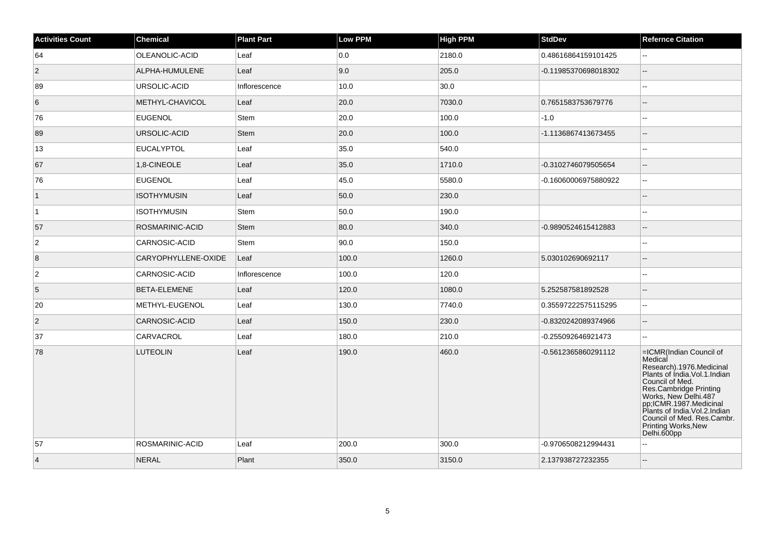| <b>Activities Count</b> | <b>Chemical</b>      | <b>Plant Part</b> | <b>Low PPM</b> | <b>High PPM</b> | <b>StdDev</b>        | <b>Refernce Citation</b>                                                                                                                                                                                                                                                                             |
|-------------------------|----------------------|-------------------|----------------|-----------------|----------------------|------------------------------------------------------------------------------------------------------------------------------------------------------------------------------------------------------------------------------------------------------------------------------------------------------|
| 64                      | OLEANOLIC-ACID       | Leaf              | 0.0            | 2180.0          | 0.48616864159101425  | $\sim$                                                                                                                                                                                                                                                                                               |
| $\overline{2}$          | ALPHA-HUMULENE       | Leaf              | 9.0            | 205.0           | -0.11985370698018302 | $\overline{\phantom{a}}$                                                                                                                                                                                                                                                                             |
| 89                      | URSOLIC-ACID         | Inflorescence     | 10.0           | 30.0            |                      | Ξ.                                                                                                                                                                                                                                                                                                   |
| 6                       | METHYL-CHAVICOL      | Leaf              | 20.0           | 7030.0          | 0.7651583753679776   | $\overline{a}$                                                                                                                                                                                                                                                                                       |
| 76                      | <b>EUGENOL</b>       | Stem              | 20.0           | 100.0           | $-1.0$               | $\sim$                                                                                                                                                                                                                                                                                               |
| 89                      | URSOLIC-ACID         | Stem              | 20.0           | 100.0           | -1.1136867413673455  | $\overline{\phantom{a}}$                                                                                                                                                                                                                                                                             |
| 13                      | <b>EUCALYPTOL</b>    | Leaf              | 35.0           | 540.0           |                      | $\overline{a}$                                                                                                                                                                                                                                                                                       |
| 67                      | 1,8-CINEOLE          | Leaf              | 35.0           | 1710.0          | -0.3102746079505654  | $\overline{a}$                                                                                                                                                                                                                                                                                       |
| 76                      | <b>EUGENOL</b>       | Leaf              | 45.0           | 5580.0          | -0.16060006975880922 | $\mathbf{u}$                                                                                                                                                                                                                                                                                         |
| $\mathbf{1}$            | <b>ISOTHYMUSIN</b>   | Leaf              | 50.0           | 230.0           |                      | $\sim$                                                                                                                                                                                                                                                                                               |
| $\vert$ 1               | ISOTHYMUSIN          | Stem              | 50.0           | 190.0           |                      | ш.                                                                                                                                                                                                                                                                                                   |
| 57                      | ROSMARINIC-ACID      | <b>Stem</b>       | 80.0           | 340.0           | -0.9890524615412883  | $\overline{a}$                                                                                                                                                                                                                                                                                       |
| $\boldsymbol{2}$        | <b>CARNOSIC-ACID</b> | Stem              | 90.0           | 150.0           |                      | ۵.                                                                                                                                                                                                                                                                                                   |
| 8                       | CARYOPHYLLENE-OXIDE  | Leaf              | 100.0          | 1260.0          | 5.030102690692117    | $\sim$                                                                                                                                                                                                                                                                                               |
| $\sqrt{2}$              | CARNOSIC-ACID        | Inflorescence     | 100.0          | 120.0           |                      | $\overline{a}$                                                                                                                                                                                                                                                                                       |
| $\overline{5}$          | BETA-ELEMENE         | Leaf              | 120.0          | 1080.0          | 5.252587581892528    |                                                                                                                                                                                                                                                                                                      |
| 20                      | METHYL-EUGENOL       | Leaf              | 130.0          | 7740.0          | 0.35597222575115295  | $\sim$                                                                                                                                                                                                                                                                                               |
| $\overline{2}$          | CARNOSIC-ACID        | Leaf              | 150.0          | 230.0           | -0.8320242089374966  | $\overline{a}$                                                                                                                                                                                                                                                                                       |
| 37                      | CARVACROL            | Leaf              | 180.0          | 210.0           | -0.255092646921473   |                                                                                                                                                                                                                                                                                                      |
| 78                      | <b>LUTEOLIN</b>      | Leaf              | 190.0          | 460.0           | -0.5612365860291112  | =ICMR(Indian Council of<br>Medical<br>Research).1976.Medicinal<br>Plants of India. Vol. 1. Indian<br>Council of Med.<br>Res.Cambridge Printing<br>Works, New Delhi.487<br>pp;ICMR.1987.Medicinal<br>Plants of India.Vol.2.Indian<br>Council of Med. Res.Cambr.<br>Printing Works, New<br>Delhi.600pp |
| 57                      | ROSMARINIC-ACID      | Leaf              | 200.0          | 300.0           | -0.9706508212994431  | $\sim$                                                                                                                                                                                                                                                                                               |
| $\vert$ 4               | <b>NERAL</b>         | Plant             | 350.0          | 3150.0          | 2.137938727232355    | $\overline{a}$                                                                                                                                                                                                                                                                                       |